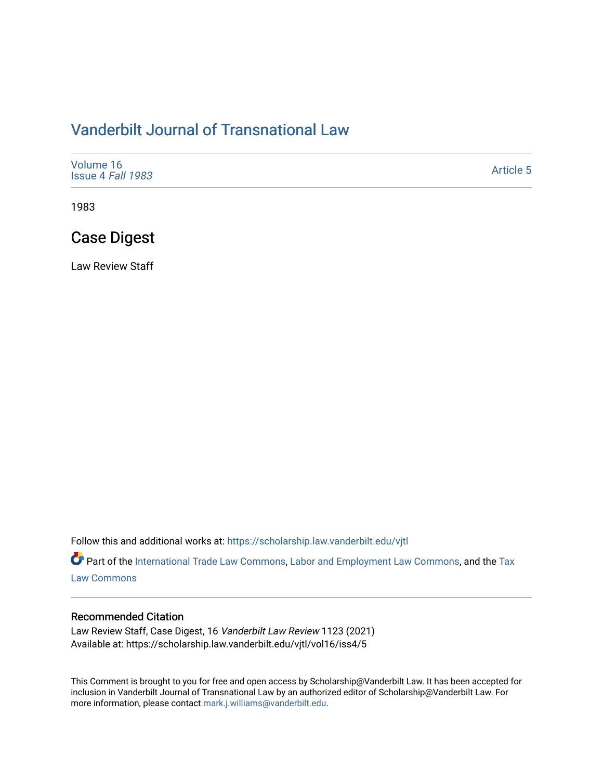# [Vanderbilt Journal of Transnational Law](https://scholarship.law.vanderbilt.edu/vjtl)

| Volume 16<br>Issue 4 Fall 1983 | <b>Article 5</b> |
|--------------------------------|------------------|
|--------------------------------|------------------|

1983

# Case Digest

Law Review Staff

Follow this and additional works at: [https://scholarship.law.vanderbilt.edu/vjtl](https://scholarship.law.vanderbilt.edu/vjtl?utm_source=scholarship.law.vanderbilt.edu%2Fvjtl%2Fvol16%2Fiss4%2F5&utm_medium=PDF&utm_campaign=PDFCoverPages) 

Part of the [International Trade Law Commons](https://network.bepress.com/hgg/discipline/848?utm_source=scholarship.law.vanderbilt.edu%2Fvjtl%2Fvol16%2Fiss4%2F5&utm_medium=PDF&utm_campaign=PDFCoverPages), [Labor and Employment Law Commons,](https://network.bepress.com/hgg/discipline/909?utm_source=scholarship.law.vanderbilt.edu%2Fvjtl%2Fvol16%2Fiss4%2F5&utm_medium=PDF&utm_campaign=PDFCoverPages) and the Tax [Law Commons](https://network.bepress.com/hgg/discipline/898?utm_source=scholarship.law.vanderbilt.edu%2Fvjtl%2Fvol16%2Fiss4%2F5&utm_medium=PDF&utm_campaign=PDFCoverPages) 

#### Recommended Citation

Law Review Staff, Case Digest, 16 Vanderbilt Law Review 1123 (2021) Available at: https://scholarship.law.vanderbilt.edu/vjtl/vol16/iss4/5

This Comment is brought to you for free and open access by Scholarship@Vanderbilt Law. It has been accepted for inclusion in Vanderbilt Journal of Transnational Law by an authorized editor of Scholarship@Vanderbilt Law. For more information, please contact [mark.j.williams@vanderbilt.edu](mailto:mark.j.williams@vanderbilt.edu).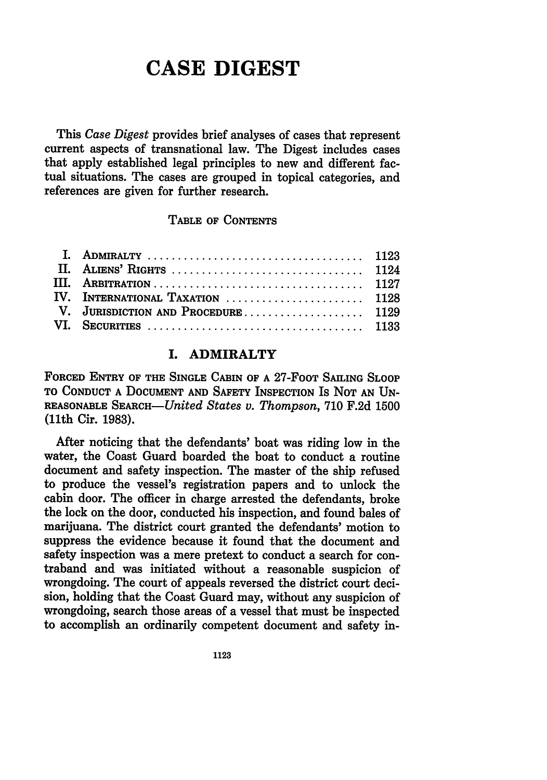# **CASE DIGEST**

This *Case Digest* provides brief analyses of cases that represent current aspects of transnational law. The Digest includes cases that apply established legal principles to new and different factual situations. The cases are grouped in topical categories, and references are given for further research.

#### **TABLE OF CONTENTS**

| IV. INTERNATIONAL TAXATION  1128   |  |
|------------------------------------|--|
| V. JURISDICTION AND PROCEDURE 1129 |  |
|                                    |  |

## **I. ADMIRALTY**

**FORCED ENTRY OF THE SINGLE CABIN OF A 27-FOOT SAILING SLOOP TO CONDUCT A DOCUMENT AND SAFETY INSPECTION** Is **NOT AN UN-REASONABLE** SEARCH-United *States v. Thompson,* **710 F.2d 1500** (11th Cir. **1983).**

After noticing that the defendants' boat was riding low in the water, the Coast Guard boarded the boat to conduct a routine document and safety inspection. The master of the ship refused to produce the vessel's registration papers and to unlock the cabin door. The officer in charge arrested the defendants, broke the lock on the door, conducted his inspection, and found bales of marijuana. The district court granted the defendants' motion to suppress the evidence because it found that the document and safety inspection was a mere pretext to conduct a search for contraband and was initiated without a reasonable suspicion of wrongdoing. The court of appeals reversed the district court decision, holding that the Coast Guard may, without any suspicion of wrongdoing, search those areas of a vessel that must be inspected to accomplish an ordinarily competent document and safety in-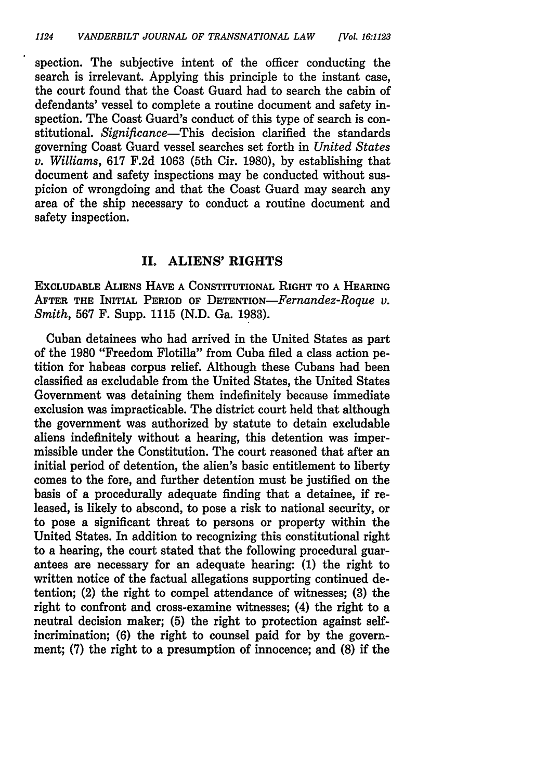spection. The subjective intent of the officer conducting the search is irrelevant. Applying this principle to the instant case, the court found that the Coast Guard had to search the cabin of defendants' vessel to complete a routine document and safety inspection. The Coast Guard's conduct of this type of search is constitutional. *Significance-This* decision clarified the standards governing Coast Guard vessel searches set forth in *United States v. Williams,* 617 F.2d 1063 (5th Cir. 1980), by establishing that document and safety inspections may be conducted without suspicion of wrongdoing and that the Coast Guard may search any area of the ship necessary to conduct a routine document and safety inspection.

#### **II.** ALIENS' **RIGHTS**

**EXCLUDABLE ALIENS HAVE A CONSTITUTIONAL RIGHT TO A HEARING AFTER THE INITIAL PERIOD OF** *DETENTIoN-Fernandez-Roque v. Smith,* 567 F. Supp. 1115 (N.D. Ga. 1983).

Cuban detainees who had arrived in the United States as part of the 1980 "Freedom Flotilla" from Cuba filed a class action petition for habeas corpus relief. Although these Cubans had been classified as excludable from the United States, the United States Government was detaining them indefinitely because immediate exclusion was impracticable. The district court held that although the government was authorized by statute to detain excludable aliens indefinitely without a hearing, this detention was impermissible under the Constitution. The court reasoned that after an initial period of detention, the alien's basic entitlement to liberty comes to the fore, and further detention must be justified on the basis of a procedurally adequate finding that a detainee, if released, is likely to abscond, to pose a risk to national security, or to pose a significant threat to persons or property within the United States. In addition to recognizing this constitutional right to a hearing, the court stated that the following procedural guarantees are necessary for an adequate hearing: (1) the right to written notice of the factual allegations supporting continued detention; (2) the right to compel attendance of witnesses; (3) the right to confront and cross-examine witnesses; (4) the right to a neutral decision maker; **(5)** the right to protection against selfincrimination; (6) the right to counsel paid for by the government; (7) the right to a presumption of innocence; and (8) if the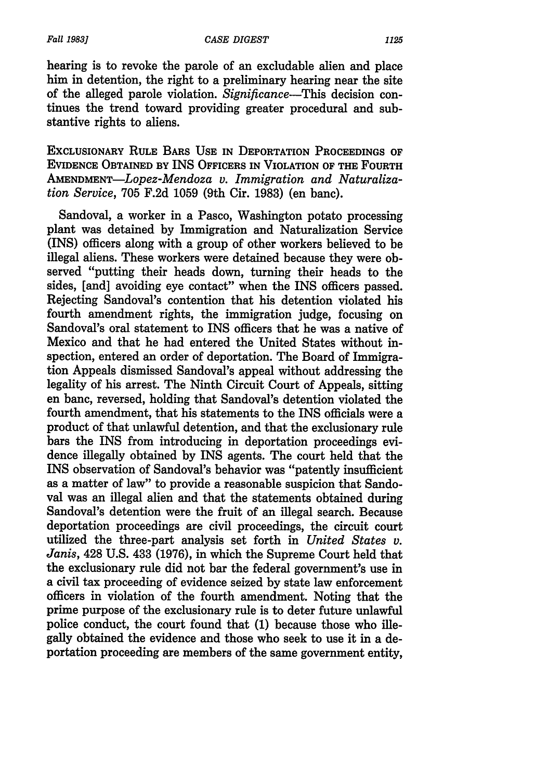*Fall 19831*

hearing is to revoke the parole of an excludable alien and place him in detention, the right to a preliminary hearing near the site of the alleged parole violation. *Significance-This* decision continues the trend toward providing greater procedural and substantive rights to aliens.

EXCLUSIONARY RULE BARs **USE IN** DEPORTATION PROCEEDINGS OF **EVIDENCE OBTAINED** BY INS OFFICERS **IN** VIOLATION OF THE FOURTH *AMENDMENT-Lopez-Mendoza v. Immigration and Naturalization Service,* 705 F.2d 1059 (9th Cir. 1983) (en banc).

Sandoval, a worker in a Pasco, Washington potato processing plant was detained by Immigration and Naturalization Service (INS) officers along with a group of other workers believed to be illegal aliens. These workers were detained because they were observed "putting their heads down, turning their heads to the sides, [and] avoiding eye contact" when the INS officers passed. Rejecting Sandoval's contention that his detention violated his fourth amendment rights, the immigration judge, focusing on Sandoval's oral statement to INS officers that he was a native of Mexico and that he had entered the United States without inspection, entered an order of deportation. The Board of Immigration Appeals dismissed Sandoval's appeal without addressing the legality of his arrest. The Ninth Circuit Court of Appeals, sitting en banc, reversed, holding that Sandoval's detention violated the fourth amendment, that his statements to the INS officials were a product of that unlawful detention, and that the exclusionary rule bars the INS from introducing in deportation proceedings evidence illegally obtained by INS agents. The court held that the INS observation of Sandoval's behavior was "patently insufficient as a matter of law" to provide a reasonable suspicion that Sandoval was an illegal alien and that the statements obtained during Sandoval's detention were the fruit of an illegal search. Because deportation proceedings are civil proceedings, the circuit court utilized the three-part analysis set forth in *United States v. Janis,* 428 U.S. 433 (1976), in which the Supreme Court held that the exclusionary rule did not bar the federal government's use in a civil tax proceeding of evidence seized by state law enforcement officers in violation of the fourth amendment. Noting that the prime purpose of the exclusionary rule is to deter future unlawful police conduct, the court found that (1) because those who illegally obtained the evidence and those who seek to use it in a deportation proceeding are members of the same government entity,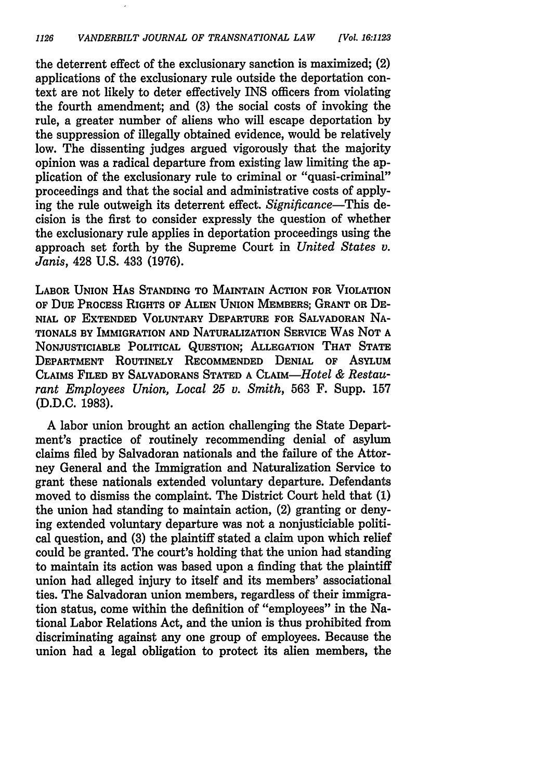the deterrent effect of the exclusionary sanction is maximized; (2) applications of the exclusionary rule outside the deportation context are not likely to deter effectively INS officers from violating the fourth amendment; and (3) the social costs of invoking the rule, a greater number of aliens who will escape deportation by the suppression of illegally obtained evidence, would be relatively low. The dissenting judges argued vigorously that the majority opinion was a radical departure from existing law limiting the application of the exclusionary rule to criminal or "quasi-criminal" proceedings and that the social and administrative costs of applying the rule outweigh its deterrent effect. *Significance-This* decision is the first to consider expressly the question of whether the exclusionary rule applies in deportation proceedings using the approach set forth by the Supreme Court in *United States v. Janis,* 428 U.S. 433 (1976).

LABOR **UNION HAS STANDING** TO MAINTAIN ACTION FOR VIOLATION OF **DUE** PROCESS RIGHTS OF **ALIEN** UNION MEMBERS; GRANT OR DE-**NIAL** OF **EXTENDED VOLUNTARY** DEPARTURE FOR SALVADORAN NA-TIONALS BY IMMIGRATION AND NATURALIZATION SERVICE WAS NOT A NONJUSTICIABLE POLITICAL QUESTION; ALLEGATION THAT STATE DEPARTMENT ROUTINELY RECOMMENDED DENIAL OF ASYLUM CLAIMS FILED BY SALVADORANS STATED A CLAIM-Hotel *& Restaurant Employees Union, Local 25 v. Smith,* **563** F. Supp. 157 **(D.D.C. 1983).**

A labor union brought an action challenging the State Department's practice of routinely recommending denial of asylum claims filed by Salvadoran nationals and the failure of the Attorney General and the Immigration and Naturalization Service to grant these nationals extended voluntary departure. Defendants moved to dismiss the complaint. The District Court held that (1) the union had standing to maintain action, (2) granting or denying extended voluntary departure was not a nonjusticiable political question, and (3) the plaintiff stated a claim upon which relief could be granted. The court's holding that the union had standing to maintain its action was based upon a finding that the plaintiff union had alleged injury to itself and its members' associational ties. The Salvadoran union members, regardless of their immigration status, come within the definition of "employees" in the National Labor Relations Act, and the union is thus prohibited from discriminating against any one group of employees. Because the union had a legal obligation to protect its alien members, the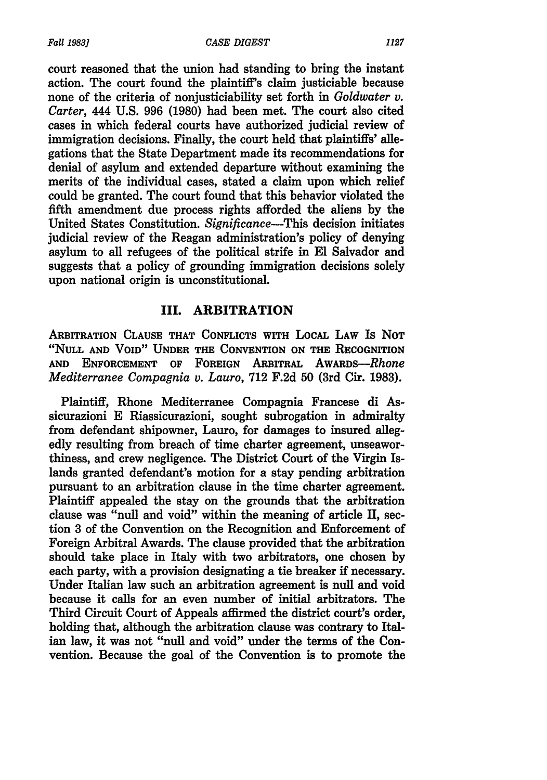court reasoned that the union had standing to bring the instant action. The court found the plaintiff's claim justiciable because none of the criteria of nonjusticiability set forth in *Goldwater v. Carter,* 444 **U.S. 996 (1980)** had been met. The court also cited cases in which federal courts have authorized judicial review of immigration decisions. Finally, the court held that plaintiffs' allegations that the State Department made its recommendations for denial of asylum and extended departure without examining the merits of the individual cases, stated a claim upon which relief could be granted. The court found that this behavior violated the fifth amendment due process rights afforded the aliens **by** the United States Constitution. *Significance-This* decision initiates judicial review of the Reagan administration's policy of denying asylum to all refugees of the political strife in **El** Salvador and suggests that a policy of grounding immigration decisions solely upon national origin is unconstitutional.

#### **III. ARBITRATION**

**ARBITRATION CLAUSE THAT CONFLICTS WITH LOCAL LAW** Is **NOT "NULL AND VOID" UNDER THE CONVENTION ON THE RECOGNITION AND ENFORCEMENT OF FOREIGN ARBITRAL** *AwARDs-Rhone Mediterranee Compagnia v. Lauro,* **712 F.2d 50** (3rd Cir. **1983).**

Plaintiff, Rhone Mediterranee Compagnia Francese di Assicurazioni **E** Riassicurazioni, sought subrogation in admiralty from defendant shipowner, Lauro, for damages to insured allegedly resulting from breach of time charter agreement, unseaworthiness, and crew negligence. The District Court of the Virgin Islands granted defendant's motion for a stay pending arbitration pursuant to an arbitration clause in the time charter agreement. Plaintiff appealed the stay on the grounds that the arbitration clause was "null and void" within the meaning of article II, section **3** of the Convention on the Recognition and Enforcement of Foreign Arbitral Awards. The clause provided that the arbitration should take place in Italy with two arbitrators, one chosen **by** each party, with a provision designating a tie breaker if necessary. Under Italian law such an arbitration agreement is null and void because it calls for an even number of initial arbitrators. The Third Circuit Court of Appeals affirmed the district court's order, holding that, although the arbitration clause was contrary to Italian law, it was not "null and void" under the terms of the Convention. Because the goal of the Convention is to promote the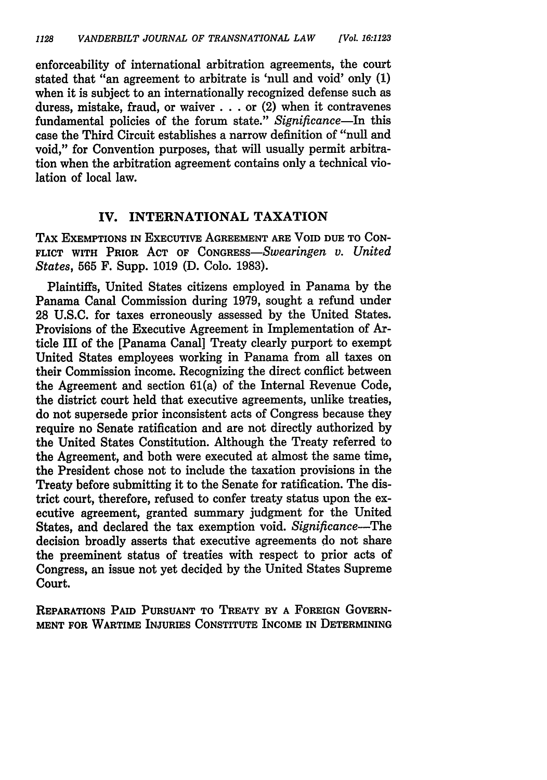enforceability of international arbitration agreements, the court stated that "an agreement to arbitrate is 'null and void' only (1) when it is subject to an internationally recognized defense such as duress, mistake, fraud, or waiver **. . .** or (2) when it contravenes fundamental policies of the forum state." *Significance-In* this case the Third Circuit establishes a narrow definition of "null and void," for Convention purposes, that will usually permit arbitration when the arbitration agreement contains only a technical violation of local law.

### IV. INTERNATIONAL **TAXATION**

TAX EXEMPTIONS **IN** EXECUTIVE **AGREEMENT ARE** VOID **DUE TO** CON-FLICT WITH PRIOR **ACT** OF *CoNGREss-Swearingen v. United States,* 565 F. Supp. **1019 (D.** Colo. **1983).**

Plaintiffs, United States citizens employed in Panama **by** the Panama Canal Commission during **1979,** sought a refund under **28 U.S.C.** for taxes erroneously assessed **by** the United States. Provisions of the Executive Agreement in Implementation of Article III of the [Panama Canal] Treaty clearly purport to exempt United States employees working in Panama from all taxes on their Commission income. Recognizing the direct conflict between the Agreement and section 61(a) of the Internal Revenue Code, the district court held that executive agreements, unlike treaties, do not supersede prior inconsistent acts of Congress because they require no Senate ratification and are not directly authorized **by** the United States Constitution. Although the Treaty referred to the Agreement, and both were executed at almost the same time, the President chose not to include the taxation provisions in the Treaty before submitting it to the Senate for ratification. The district court, therefore, refused to confer treaty status upon the executive agreement, granted summary judgment for the United States, and declared the tax exemption void. *Significance-The* decision broadly asserts that executive agreements **do** not share the preeminent status of treaties with respect to prior acts of Congress, an issue not yet decided **by** the United States Supreme Court.

**REPARATIONS PAID PURSUANT TO TREATY BY A FOREIGN GOVERN-MENT FOR WARTIME INJURIES CONSTITUTE INCOME IN DETERMINING**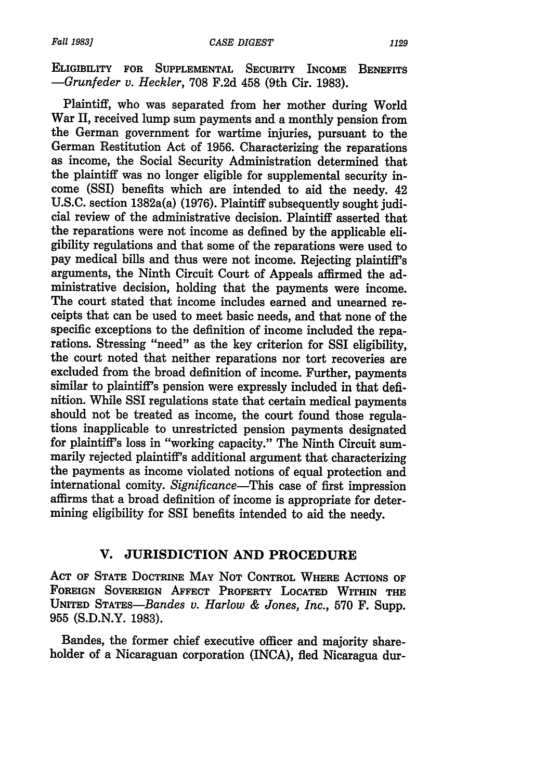**ELIGIBILITY FOR SUPPLEMENTAL SECURITY INCOME BENEFITS** *-Grunfeder v. Heckler,* **708 F.2d** 458 (9th Cir. **1983).**

Plaintiff, who was separated from her mother during World War II, received lump sum payments and a monthly pension from the German government for wartime injuries, pursuant to the German Restitution Act of 1956. Characterizing the reparations as income, the Social Security Administration determined that the plaintiff was no longer eligible for supplemental security income (SSI) benefits which are intended to aid the needy. 42 U.S.C. section 1382a(a) (1976). Plaintiff subsequently sought judicial review of the administrative decision. Plaintiff asserted that the reparations were not income as defined by the applicable eligibility regulations and that some of the reparations were used to pay medical bills and thus were not income. Rejecting plaintiff's arguments, the Ninth Circuit Court of Appeals affirmed the administrative decision, holding that the payments were income. The court stated that income includes earned and unearned receipts that can be used to meet basic needs, and that none of the specific exceptions to the definition of income included the reparations. Stressing "need" as the key criterion for SSI eligibility, the court noted that neither reparations nor tort recoveries are excluded from the broad definition of income. Further, payments similar to plaintiff's pension were expressly included in that definition. While SSI regulations state that certain medical payments should not be treated as income, the court found those regulations inapplicable to unrestricted pension payments designated for plaintiff's loss in "working capacity." The Ninth Circuit summarily rejected plaintiff's additional argument that characterizing the payments as income violated notions of equal protection and international comity. *Significance-This* case of first impression affirms that a broad definition of income is appropriate for determining eligibility for SSI benefits intended to aid the needy.

## **V. JURISDICTION AND PROCEDURE**

**ACT OF STATE DOCTRINE MAY NOT CONTROL WHERE ACTIONS OF FOREIGN SOVEREIGN AFFECT PROPERTY LOCATED WITHIN THE UNITED** *STATEs-Bandes v. Harlow & Jones, Inc.,* **570** F. Supp. 955 (S.D.N.Y. 1983).

Bandes, the former chief executive officer and majority shareholder of a Nicaraguan corporation (INCA), fled Nicaragua dur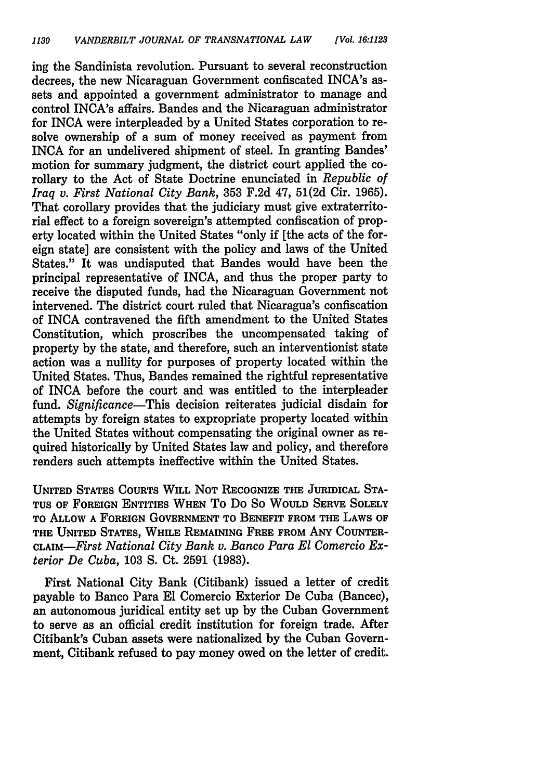ing the Sandinista revolution. Pursuant to several reconstruction decrees, the new Nicaraguan Government confiscated INCA's assets and appointed a government administrator to manage and control INCA's affairs. Bandes and the Nicaraguan administrator for INCA were interpleaded by a United States corporation to resolve ownership of a sum of money received as payment from INCA for an undelivered shipment of steel. In granting Bandes' motion for summary judgment, the district court applied the corollary to the Act of State Doctrine enunciated in *Republic of Iraq v. First National City Bank,* 353 F.2d 47, 51(2d Cir. 1965). That corollary provides that the judiciary must give extraterritorial effect to a foreign sovereign's attempted confiscation of property located within the United States "only if [the acts of the foreign state] are consistent with the policy and laws of the United States." It was undisputed that Bandes would have been the principal representative of INCA, and thus the proper party to receive the disputed funds, had the Nicaraguan Government not intervened. The district court ruled that Nicaragua's confiscation of INCA contravened the fifth amendment to the United States Constitution, which proscribes the uncompensated taking of property by the state, and therefore, such an interventionist state action was a nullity for purposes of property located within the United States. Thus, Bandes remained the rightful representative of INCA before the court and was entitled to the interpleader fund. *Significance-This* decision reiterates judicial disdain for attempts by foreign states to expropriate property located within the United States without compensating the original owner as required historically by United States law and policy, and therefore renders such attempts ineffective within the United States.

UNITED **STATES COURTS** WILL NOT RECOGNIZE THE **JURIDICAL** STA-**TUS** OF **FOREIGN** ENTITIES WHEN To Do So **WOULD** SERVE SOLELY TO ALLOW A FOREIGN GOVERNMENT TO BENEFIT FROM THE LAWS OF THE UNITED STATES, WHILE REMAINING FREE FROM **ANY COUNTER-***CLAIM-First National City Bank v. Banco Para El Comercio Exterior De Cuba,* 103 **S.** Ct. 2591 (1983).

First National City Bank (Citibank) issued a letter of credit payable to Banco Para **El** Comercio Exterior De Cuba (Bancec), an autonomous juridical entity set up by the Cuban Government to serve as an official credit institution for foreign trade. After Citibank's Cuban assets were nationalized by the Cuban Government, Citibank refused to pay money owed on the letter of credit.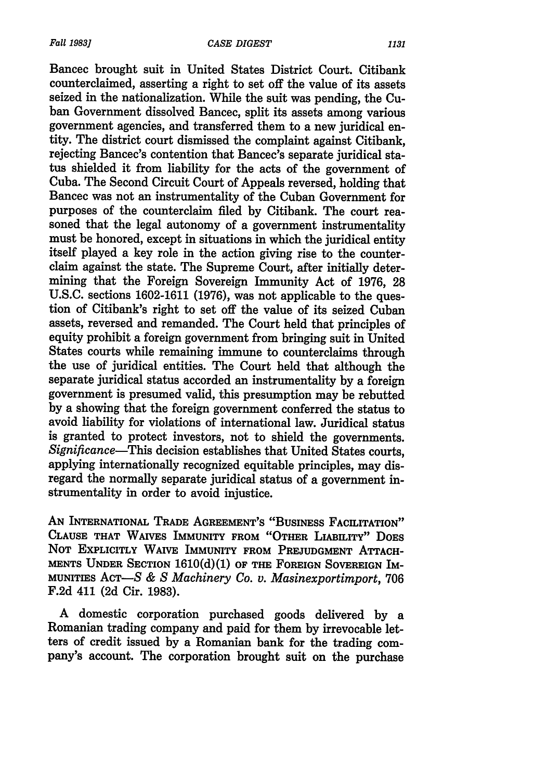Bancec brought suit in United States District Court. Citibank counterclaimed, asserting a right to set off the value of its assets seized in the nationalization. While the suit was pending, the Cuban Government dissolved Bancec, split its assets among various government agencies, and transferred them to a new juridical entity. The district court dismissed the complaint against Citibank, rejecting Bancec's contention that Bancec's separate juridical status shielded it from liability for the acts of the government of Cuba. The Second Circuit Court of Appeals reversed, holding that Bancec was not an instrumentality of the Cuban Government for purposes of the counterclaim filed by Citibank. The court reasoned that the legal autonomy of a government instrumentality must be honored, except in situations in which the juridical entity itself played a key role in the action giving rise to the counterclaim against the state. The Supreme Court, after initially determining that the Foreign Sovereign Immunity Act of 1976, 28 U.S.C. sections 1602-1611 (1976), was not applicable to the question of Citibank's right to set off the value of its seized Cuban assets, reversed and remanded. The Court held that principles of equity prohibit a foreign government from bringing suit in United States courts while remaining immune to counterclaims through the use of juridical entities. The Court held that although the separate juridical status accorded an instrumentality by a foreign government is presumed valid, this presumption may be rebutted by a showing that the foreign government conferred the status to avoid liability for violations of international law. Juridical status is granted to protect investors, not to shield the governments. *Significance-This* decision establishes that United States courts, applying internationally recognized equitable principles, may disregard the normally separate juridical status of a government instrumentality in order to avoid injustice.

**AN INTERNATIONAL TRADE AGREEMENT'S "BUSINESS FACILITATION" CLAUSE THAT** WAIVES **IMMUNITY FROM "OTHER LIABILITY" DOES NOT ExPLICITLY WAIVE IMMUNITY FROM PREJUDGMENT ATTACH-MENTS UNDER SECTION 1610(d)(1) OF THE FOREIGN SOVEREIGN IM-MUNITIES** ACT-S *& S Machinery Co. v. Masinexportimport,* **706** F.2d 411 (2d Cir. 1983).

A domestic corporation purchased goods delivered by a Romanian trading company and paid for them by irrevocable letters of credit issued by a Romanian bank for the trading company's account. The corporation brought suit on the purchase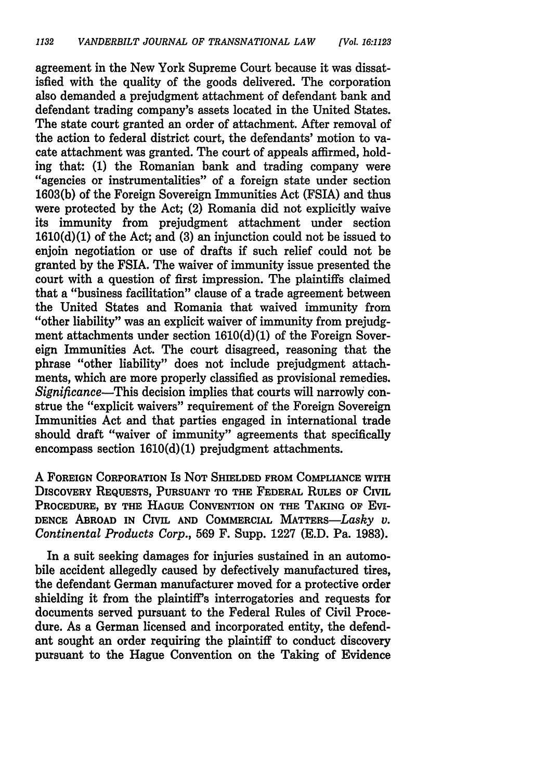agreement in the New York Supreme Court because it was dissatisfied with the quality of the goods delivered. The corporation also demanded a prejudgment attachment of defendant bank and defendant trading company's assets located in the United States. The state court granted an order of attachment. After removal of the action to federal district court, the defendants' motion to vacate attachment was granted. The court of appeals affirmed, holding that: (1) the Romanian bank and trading company were "agencies or instrumentalities" of a foreign state under section 1603(b) of the Foreign Sovereign Immunities Act (FSIA) and thus were protected by the Act; (2) Romania did not explicitly waive its immunity from prejudgment attachment under section 1610(d)(1) of the Act; and (3) an injunction could not be issued to enjoin negotiation or use of drafts if such relief could not be granted by the FSIA. The waiver of immunity issue presented the court with a question of first impression. The plaintiffs claimed that a "business facilitation" clause of a trade agreement between the United States and Romania that waived immunity from "other liability" was an explicit waiver of immunity from prejudgment attachments under section 1610(d)(1) of the Foreign Sovereign Immunities Act. The court disagreed, reasoning that the phrase "other liability" does not include prejudgment attachments, which are more properly classified as provisional remedies. *Significance-This* decision implies that courts will narrowly construe the "explicit waivers" requirement of the Foreign Sovereign Immunities Act and that parties engaged in international trade should draft "waiver of immunity" agreements that specifically encompass section 1610(d)(1) prejudgment attachments.

A **FOREIGN** CORPORATION Is **NOT SHIELDED** FROM **COMPLIANCE** WITH DISCOVERY REQUESTS, **PURSUANT** TO THE FEDERAL RULES OF CIVIL PROCEDURE, BY THE **HAGUE CONVENTION ON** THE **TAKING** OF Evi-**DENCE** ABROAD **IN** CIVIL **AND** COMMERCIAL MATTERS-Lasky *v. Continental Products Corp.,* **569** F. Supp. **1227 (E.D.** Pa. **1983).**

In a suit seeking damages for injuries sustained in an automobile accident allegedly caused **by** defectively manufactured tires, the defendant German manufacturer moved for a protective order shielding it from the plaintiff's interrogatories and requests for documents served pursuant to the Federal Rules of Civil Procedure. As a German licensed and incorporated entity, the defendant sought an order requiring the plaintiff to conduct discovery pursuant to the Hague Convention on the Taking of Evidence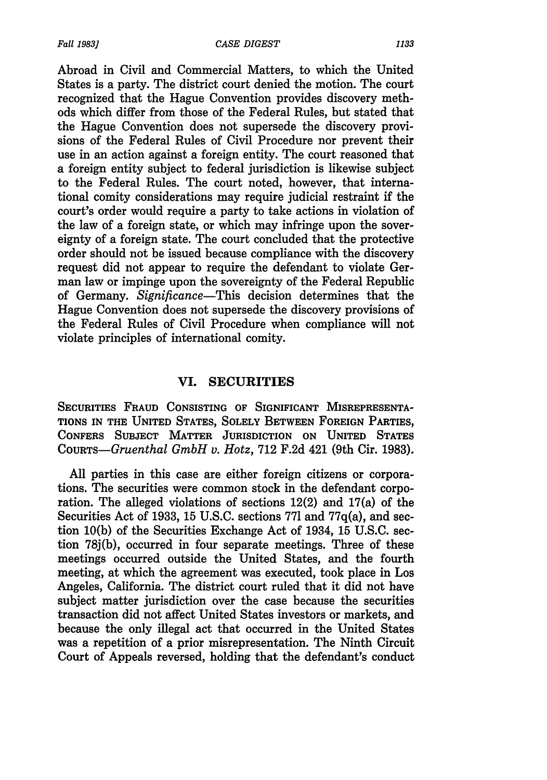Abroad in Civil and Commercial Matters, to which the United States is a party. The district court denied the motion. The court recognized that the Hague Convention provides discovery methods which differ from those of the Federal Rules, but stated that the Hague Convention does not supersede the discovery provisions of the Federal Rules of Civil Procedure nor prevent their use in an action against a foreign entity. The court reasoned that a foreign entity subject to federal jurisdiction is likewise subject to the Federal Rules. The court noted, however, that international comity considerations may require judicial restraint if the court's order would require a party to take actions in violation of the law of a foreign state, or which may infringe upon the sovereignty of a foreign state. The court concluded that the protective order should not be issued because compliance with the discovery request did not appear to require the defendant to violate German law or impinge upon the sovereignty of the Federal Republic of Germany. *Significance-This* decision determines that the Hague Convention does not supersede the discovery provisions of the Federal Rules of Civil Procedure when compliance will not violate principles of international comity.

#### **VI. SECURITIES**

**SECURITIES FRAUD CONSISTING OF SIGNIFICANT MISREPRESENTA-TIONS IN THE UNITED STATES, SOLELY BETWEEN FOREIGN PARTIES, CONFERS SUBJECT MATTER JURISDICTION ON UNITED STATES** *CouRTs-Gruenthal GmbH v. Hotz,* **712 F.2d** 421 (9th Cir. **1983).**

All parties in this case are either foreign citizens or corporations. The securities were common stock in the defendant corporation. The alleged violations of sections 12(2) and 17(a) of the Securities Act of 1933, 15 U.S.C. sections 771 and 77q(a), and section 10(b) of the Securities Exchange Act of 1934, 15 U.S.C. section **78j(b),** occurred in four separate meetings. Three of these meetings occurred outside the United States, and the fourth meeting, at which the agreement was executed, took place in Los Angeles, California. The district court ruled that it did not have subject matter jurisdiction over the case because the securities transaction did not affect United States investors or markets, and because the only illegal act that occurred in the United States was a repetition of a prior misrepresentation. The Ninth Circuit Court of Appeals reversed, holding that the defendant's conduct